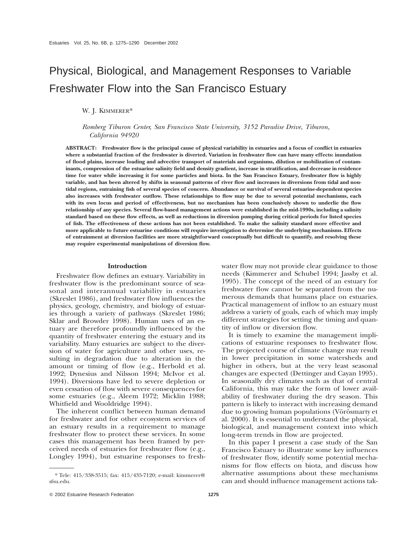# Physical, Biological, and Management Responses to Variable Freshwater Flow into the San Francisco Estuary

W. J. KIMMERER\*

# *Romberg Tiburon Center, San Francisco State University, 3152 Paradise Drive, Tiburon, California 94920*

**ABSTRACT: Freshwater flow is the principal cause of physical variability in estuaries and a focus of conflict in estuaries where a substantial fraction of the freshwater is diverted. Variation in freshwater flow can have many effects: inundation of flood plains, increase loading and advective transport of materials and organisms, dilution or mobilization of contaminants, compression of the estuarine salinity field and density gradient, increase in stratification, and decrease in residence time for water while increasing it for some particles and biota. In the San Francisco Estuary, freshwater flow is highly variable, and has been altered by shifts in seasonal patterns of river flow and increases in diversions from tidal and nontidal regions, entraining fish of several species of concern. Abundance or survival of several estuarine-dependent species also increases with freshwater outflow. These relationships to flow may be due to several potential mechanisms, each with its own locus and period of effectiveness, but no mechanism has been conclusively shown to underlie the flow relationship of any species. Several flow-based management actions were established in the mid-1990s, including a salinity standard based on these flow effects, as well as reductions in diversion pumping during critical periods for listed species of fish. The effectiveness of these actions has not been established. To make the salinity standard more effective and more applicable to future estuarine conditions will require investigation to determine the underlying mechanisms. Effects of entrainment at diversion facilities are more straightforward conceptually but difficult to quantify, and resolving these may require experimental manipulations of diversion flow.**

## **Introduction**

Freshwater flow defines an estuary. Variability in freshwater flow is the predominant source of seasonal and interannual variability in estuaries (Skreslet 1986), and freshwater flow influences the physics, geology, chemistry, and biology of estuaries through a variety of pathways (Skreslet 1986; Sklar and Browder 1998). Human uses of an estuary are therefore profoundly influenced by the quantity of freshwater entering the estuary and its variability. Many estuaries are subject to the diversion of water for agriculture and other uses, resulting in degradation due to alteration in the amount or timing of flow (e.g., Herbold et al. 1992; Dynesius and Nilsson 1994; McIvor et al. 1994). Diversions have led to severe depletion or even cessation of flow with severe consequences for some estuaries (e.g., Aleem 1972; Micklin 1988; Whitfield and Wooldridge 1994).

The inherent conflict between human demand for freshwater and for other ecosystem services of an estuary results in a requirement to manage freshwater flow to protect these services. In some cases this management has been framed by perceived needs of estuaries for freshwater flow (e.g., Longley 1994), but estuarine responses to freshwater flow may not provide clear guidance to those needs (Kimmerer and Schubel 1994; Jassby et al. 1995). The concept of the need of an estuary for freshwater flow cannot be separated from the numerous demands that humans place on estuaries. Practical management of inflow to an estuary must address a variety of goals, each of which may imply different strategies for setting the timing and quantity of inflow or diversion flow.

It is timely to examine the management implications of estuarine responses to freshwater flow. The projected course of climate change may result in lower precipitation in some watersheds and higher in others, but at the very least seasonal changes are expected (Dettinger and Cayan 1995). In seasonally dry climates such as that of central California, this may take the form of lower availability of freshwater during the dry season. This pattern is likely to interact with increasing demand due to growing human populations (Vörösmarty et al. 2000). It is essential to understand the physical, biological, and management context into which long-term trends in flow are projected.

In this paper I present a case study of the San Francisco Estuary to illustrate some key influences of freshwater flow, identify some potential mechanisms for flow effects on biota, and discuss how alternative assumptions about these mechanisms can and should influence management actions tak-

<sup>\*</sup> Tele: 415/338-3515; fax: 415/435-7120; e-mail: kimmerer@ sfsu.edu.

Q 2002 Estuarine Research Federation **1275**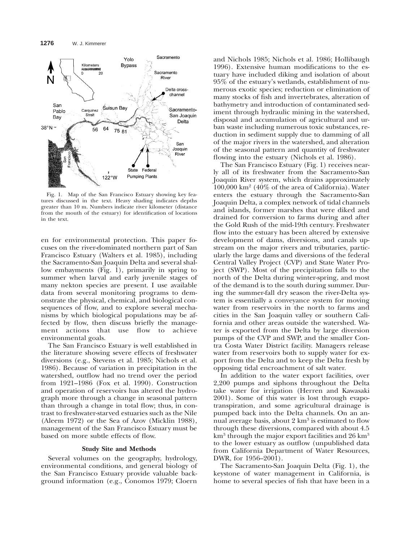

Fig. 1. Map of the San Francisco Estuary showing key features discussed in the text. Heavy shading indicates depths greater than 10 m. Numbers indicate river kilometer (distance from the mouth of the estuary) for identification of locations in the text.

en for environmental protection. This paper focuses on the river-dominated northern part of San Francisco Estuary (Walters et al. 1985), including the Sacramento-San Joaquin Delta and several shallow embayments (Fig. 1), primarily in spring to summer when larval and early juvenile stages of many nekton species are present. I use available data from several monitoring programs to demonstrate the physical, chemical, and biological consequences of flow, and to explore several mechanisms by which biological populations may be affected by flow, then discuss briefly the management actions that use flow to achieve environmental goals.

The San Francisco Estuary is well established in the literature showing severe effects of freshwater diversions (e.g., Stevens et al. 1985; Nichols et al. 1986). Because of variation in precipitation in the watershed, outflow had no trend over the period from 1921–1986 (Fox et al. 1990). Construction and operation of reservoirs has altered the hydrograph more through a change in seasonal pattern than through a change in total flow; thus, in contrast to freshwater-starved estuaries such as the Nile (Aleem 1972) or the Sea of Azov (Micklin 1988), management of the San Francisco Estuary must be based on more subtle effects of flow.

### **Study Site and Methods**

Several volumes on the geography, hydrology, environmental conditions, and general biology of the San Francisco Estuary provide valuable background information (e.g., Conomos 1979; Cloern

and Nichols 1985; Nichols et al. 1986; Hollibaugh 1996). Extensive human modifications to the estuary have included diking and isolation of about 95% of the estuary's wetlands, establishment of numerous exotic species; reduction or elimination of many stocks of fish and invertebrates, alteration of bathymetry and introduction of contaminated sediment through hydraulic mining in the watershed, disposal and accumulation of agricultural and urban waste including numerous toxic substances, reduction in sediment supply due to damming of all of the major rivers in the watershed, and alteration of the seasonal pattern and quantity of freshwater flowing into the estuary (Nichols et al. 1986).

The San Francisco Estuary (Fig. 1) receives nearly all of its freshwater from the Sacramento-San Joaquin River system, which drains approximately 100,000 km2 (40% of the area of California). Water enters the estuary through the Sacramento-San Joaquin Delta, a complex network of tidal channels and islands, former marshes that were diked and drained for conversion to farms during and after the Gold Rush of the mid-19th century. Freshwater flow into the estuary has been altered by extensive development of dams, diversions, and canals upstream on the major rivers and tributaries, particularly the large dams and diversions of the federal Central Valley Project (CVP) and State Water Project (SWP). Most of the precipitation falls to the north of the Delta during winter-spring, and most of the demand is to the south during summer. During the summer-fall dry season the river-Delta system is essentially a conveyance system for moving water from reservoirs in the north to farms and cities in the San Joaquin valley or southern California and other areas outside the watershed. Water is exported from the Delta by large diversion pumps of the CVP and SWP, and the smaller Contra Costa Water District facility. Managers release water from reservoirs both to supply water for export from the Delta and to keep the Delta fresh by opposing tidal encroachment of salt water.

In addition to the water export facilities, over 2,200 pumps and siphons throughout the Delta take water for irrigation (Herren and Kawasaki 2001). Some of this water is lost through evapotranspiration, and some agricultural drainage is pumped back into the Delta channels. On an annual average basis, about  $2 \text{ km}^3$  is estimated to flow through these diversions, compared with about 4.5 km<sup>3</sup> through the major export facilities and 26 km<sup>3</sup> to the lower estuary as outflow (unpublished data from California Department of Water Resources, DWR, for 1956–2001).

The Sacramento-San Joaquin Delta (Fig. 1), the keystone of water management in California, is home to several species of fish that have been in a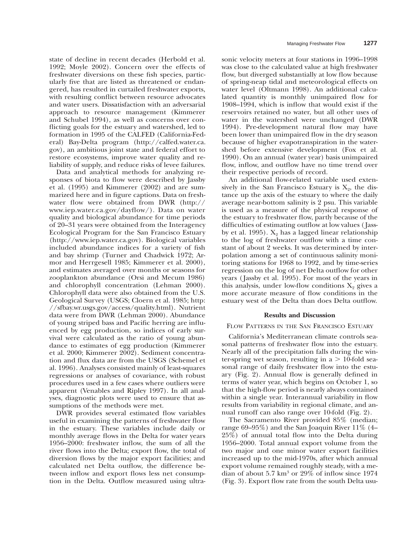state of decline in recent decades (Herbold et al. 1992; Moyle 2002). Concern over the effects of freshwater diversions on these fish species, particularly five that are listed as threatened or endangered, has resulted in curtailed freshwater exports, with resulting conflict between resource advocates and water users. Dissatisfaction with an adversarial approach to resource management (Kimmerer and Schubel 1994), as well as concerns over conflicting goals for the estuary and watershed, led to formation in 1995 of the CALFED (California-Federal) Bay-Delta program (http://calfed.water.ca. gov), an ambitious joint state and federal effort to restore ecosystems, improve water quality and reliability of supply, and reduce risks of levee failures.

Data and analytical methods for analyzing responses of biota to flow were described by Jassby et al. (1995) and Kimmerer (2002) and are summarized here and in figure captions. Data on freshwater flow were obtained from DWR (http:// www.iep.water.ca.gov/dayflow/). Data on water quality and biological abundance for time periods of 20–31 years were obtained from the Interagency Ecological Program for the San Francisco Estuary (http://www.iep.water.ca.gov). Biological variables included abundance indices for a variety of fish and bay shrimp (Turner and Chadwick 1972; Armor and Herrgesell 1985; Kimmerer et al. 2000), and estimates averaged over months or seasons for zooplankton abundance (Orsi and Mecum 1986) and chlorophyll concentration (Lehman 2000). Chlorophyll data were also obtained from the U.S. Geological Survey (USGS; Cloern et al. 1985; http: //sfbay.wr.usgs.gov/access/quality.html). Nutrient data were from DWR (Lehman 2000). Abundance of young striped bass and Pacific herring are influenced by egg production, so indices of early survival were calculated as the ratio of young abundance to estimates of egg production (Kimmerer et al. 2000; Kimmerer 2002). Sediment concentration and flux data are from the USGS (Schemel et al. 1996). Analyses consisted mainly of least-squares regressions or analyses of covariance, with robust procedures used in a few cases where outliers were apparent (Venables and Ripley 1997). In all analyses, diagnostic plots were used to ensure that assumptions of the methods were met.

DWR provides several estimated flow variables useful in examining the patterns of freshwater flow in the estuary. These variables include daily or monthly average flows in the Delta for water years 1956–2000: freshwater inflow, the sum of all the river flows into the Delta; export flow, the total of diversion flows by the major export facilities; and calculated net Delta outflow, the difference between inflow and export flows less net consumption in the Delta. Outflow measured using ultra-

sonic velocity meters at four stations in 1996–1998 was close to the calculated value at high freshwater flow, but diverged substantially at low flow because of spring-neap tidal and meteorological effects on water level (Oltmann 1998). An additional calculated quantity is monthly unimpaired flow for 1908–1994, which is inflow that would exist if the reservoirs retained no water, but all other uses of water in the watershed were unchanged (DWR 1994). Pre-development natural flow may have been lower than unimpaired flow in the dry season because of higher evapotranspiration in the watershed before extensive development (Fox et al. 1990). On an annual (water year) basis unimpaired flow, inflow, and outflow have no time trend over their respective periods of record.

An additional flow-related variable used extensively in the San Francisco Estuary is  $X_2$ , the distance up the axis of the estuary to where the daily average near-bottom salinity is 2 psu. This variable is used as a measure of the physical response of the estuary to freshwater flow, partly because of the difficulties of estimating outflow at low values ( Jassby et al. 1995).  $X_2$  has a lagged linear relationship to the log of freshwater outflow with a time constant of about 2 weeks. It was determined by interpolation among a set of continuous salinity monitoring stations for 1968 to 1992, and by time-series regression on the log of net Delta outflow for other years ( Jassby et al. 1995). For most of the years in this analysis, under low-flow conditions  $X_2$  gives a more accurate measure of flow conditions in the estuary west of the Delta than does Delta outflow.

#### **Results and Discussion**

#### FLOW PATTERNS IN THE SAN FRANCISCO ESTUARY

California's Mediterranean climate controls seasonal patterns of freshwater flow into the estuary. Nearly all of the precipitation falls during the winter-spring wet season, resulting in  $a > 10$ -fold seasonal range of daily freshwater flow into the estuary (Fig. 2). Annual flow is generally defined in terms of water year, which begins on October 1, so that the high-flow period is nearly always contained within a single year. Interannual variability in flow results from variability in regional climate, and annual runoff can also range over 10-fold (Fig. 2).

The Sacramento River provided 85% (median; range 69–95%) and the San Joaquin River 11% (4– 25%) of annual total flow into the Delta during 1956–2000. Total annual export volume from the two major and one minor water export facilities increased up to the mid-1970s, after which annual export volume remained roughly steady, with a median of about  $5.7 \text{ km}^3$  or  $29\%$  of inflow since  $1974$ (Fig. 3). Export flow rate from the south Delta usu-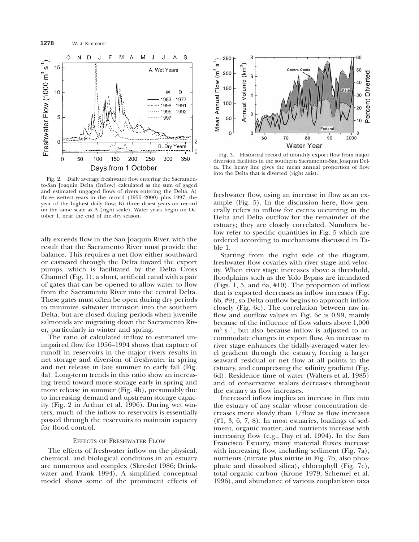

Fig. 2. Daily average freshwater flow entering the Sacramento-San Joaquin Delta (Inflow) calculated as the sum of gaged and estimated ungaged flows of rivers entering the Delta. A) three wettest years in the record (1956–2000) plus 1997, the year of the highest daily flow; B) three driest years on record on the same scale as A (right scale). Water years begin on October 1, near the end of the dry season.

ally exceeds flow in the San Joaquin River, with the result that the Sacramento River must provide the balance. This requires a net flow either southward or eastward through the Delta toward the export pumps, which is facilitated by the Delta Cross Channel (Fig. 1), a short, artificial canal with a pair of gates that can be opened to allow water to flow from the Sacramento River into the central Delta. These gates must often be open during dry periods to minimize saltwater intrusion into the southern Delta, but are closed during periods when juvenile salmonids are migrating down the Sacramento River, particularly in winter and spring.

The ratio of calculated inflow to estimated unimpaired flow for 1956–1994 shows that capture of runoff in reservoirs in the major rivers results in net storage and diversion of freshwater in spring and net release in late summer to early fall (Fig. 4a). Long-term trends in this ratio show an increasing trend toward more storage early in spring and more release in summer (Fig. 4b), presumably due to increasing demand and upstream storage capacity (Fig. 2 in Arthur et al. 1996). During wet winters, much of the inflow to reservoirs is essentially passed through the reservoirs to maintain capacity for flood control.

## EFFECTS OF FRESHWATER FLOW

The effects of freshwater inflow on the physical, chemical, and biological conditions in an estuary are numerous and complex (Skreslet 1986; Drinkwater and Frank 1994). A simplified conceptual model shows some of the prominent effects of



Fig. 3. Historical record of monthly export flow from major diversion facilities in the southern Sacramento-San Joaquin Delta. The heavy line gives the mean annual proportion of flow into the Delta that is diverted (right axis).

freshwater flow, using an increase in flow as an example (Fig. 5). In the discussion here, flow generally refers to inflow for events occurring in the Delta and Delta outflow for the remainder of the estuary; they are closely correlated. Numbers below refer to specific quantities in Fig. 5 which are ordered according to mechanisms discussed in Table 1.

Starting from the right side of the diagram, freshwater flow covaries with river stage and velocity. When river stage increases above a threshold, floodplains such as the Yolo Bypass are inundated (Figs. 1, 5, and 6a, #10). The proportion of inflow that is exported decreases as inflow increases (Fig. 6b, #9), so Delta outflow begins to approach inflow closely (Fig. 6c). The correlation between raw inflow and outflow values in Fig. 6c is 0.99, mainly because of the influence of flow values above 1,000  $m<sup>3</sup>$  s<sup>-1</sup>, but also because inflow is adjusted to accommodate changes in export flow. An increase in river stage enhances the tidally-averaged water level gradient through the estuary, forcing a larger seaward residual or net flow at all points in the estuary, and compressing the salinity gradient (Fig. 6d). Residence time of water (Walters et al. 1985) and of conservative scalars decreases throughout the estuary as flow increases.

Increased inflow implies an increase in flux into the estuary of any scalar whose concentration decreases more slowly than 1/flow as flow increases  $(\#1, 3, 6, 7, 8)$ . In most estuaries, loadings of sediment, organic matter, and nutrients increase with increasing flow (e.g., Day et al. 1994). In the San Francisco Estuary, many material fluxes increase with increasing flow, including sediment (Fig. 7a), nutrients (nitrate plus nitrite in Fig. 7b, also phosphate and dissolved silica), chlorophyll (Fig. 7c), total organic carbon (Krone 1979; Schemel et al. 1996), and abundance of various zooplankton taxa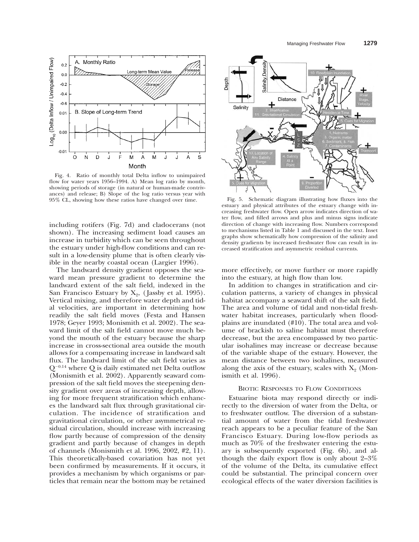

Fig. 4. Ratio of monthly total Delta inflow to unimpaired flow for water years 1956–1994. A) Mean log ratio by month, showing periods of storage (in natural or human-made contrivances) and release; B) Slope of the log ratio versus year with 95% CL, showing how these ratios have changed over time.

including rotifers (Fig. 7d) and cladocerans (not shown). The increasing sediment load causes an increase in turbidity which can be seen throughout the estuary under high-flow conditions and can result in a low-density plume that is often clearly visible in the nearby coastal ocean (Largier 1996).

The landward density gradient opposes the seaward mean pressure gradient to determine the landward extent of the salt field, indexed in the San Francisco Estuary by  $X_2$ , (Jassby et al. 1995). Vertical mixing, and therefore water depth and tidal velocities, are important in determining how readily the salt field moves (Festa and Hansen 1978; Geyer 1993; Monismith et al. 2002). The seaward limit of the salt field cannot move much beyond the mouth of the estuary because the sharp increase in cross-sectional area outside the mouth allows for a compensating increase in landward salt flux. The landward limit of the salt field varies as  $Q^{-0.14}$  where  $Q$  is daily estimated net Delta outflow (Monismith et al. 2002). Apparently seaward compression of the salt field moves the steepening density gradient over areas of increasing depth, allowing for more frequent stratification which enhances the landward salt flux through gravitational circulation. The incidence of stratification and gravitational circulation, or other asymmetrical residual circulation, should increase with increasing flow partly because of compression of the density gradient and partly because of changes in depth of channels (Monismith et al. 1996, 2002, #2, 11). This theoretically-based covariation has not yet been confirmed by measurements. If it occurs, it provides a mechanism by which organisms or particles that remain near the bottom may be retained



Fig. 5. Schematic diagram illustrating how fluxes into the estuary and physical attributes of the estuary change with increasing freshwater flow. Open arrow indicates direction of water flow, and filled arrows and plus and minus signs indicate direction of change with increasing flow. Numbers correspond to mechanisms listed in Table 1 and discussed in the text. Inset graphs show schematically how compression of the salinity and density gradients by increased freshwater flow can result in increased stratification and asymmetric residual currents.

more effectively, or move further or more rapidly into the estuary, at high flow than low.

In addition to changes in stratification and circulation patterns, a variety of changes in physical habitat accompany a seaward shift of the salt field. The area and volume of tidal and non-tidal freshwater habitat increases, particularly when floodplains are inundated (#10). The total area and volume of brackish to saline habitat must therefore decrease, but the area encompassed by two particular isohalines may increase or decrease because of the variable shape of the estuary. However, the mean distance between two isohalines, measured along the axis of the estuary, scales with  $X<sub>2</sub>$  (Monismith et al. 1996).

## BIOTIC RESPONSES TO FLOW CONDITIONS

Estuarine biota may respond directly or indirectly to the diversion of water from the Delta, or to freshwater outflow. The diversion of a substantial amount of water from the tidal freshwater reach appears to be a peculiar feature of the San Francisco Estuary. During low-flow periods as much as 70% of the freshwater entering the estuary is subsequently exported (Fig. 6b), and although the daily export flow is only about 2–3% of the volume of the Delta, its cumulative effect could be substantial. The principal concern over ecological effects of the water diversion facilities is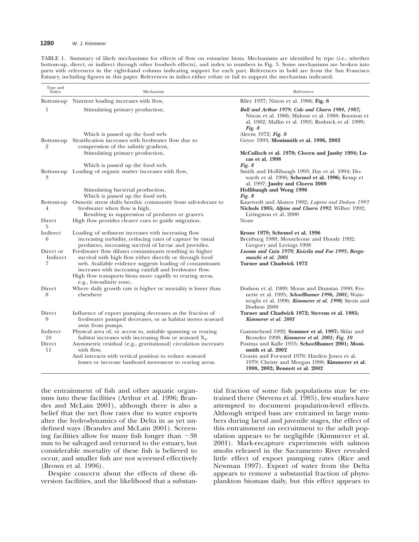## **1280** W. J. Kimmerer

TABLE 1. Summary of likely mechanisms for effects of flow on estuarine biota. Mechanisms are identified by type (i.e., whether bottom-up, direct, or indirect through other foodweb effects), and index to numbers in Fig. 5. Some mechanisms are broken into parts with references in the right-hand column indicating support for each part. References in bold are from the San Francisco Estuary, including figures in this paper. References in italics either refute or fail to support the mechanism indicated.

| Type and<br><b>Index</b> | Mechanism                                                                                                                                                                  | References                                                                                                                                                                          |
|--------------------------|----------------------------------------------------------------------------------------------------------------------------------------------------------------------------|-------------------------------------------------------------------------------------------------------------------------------------------------------------------------------------|
|                          | Bottom-up Nutrient loading increases with flow,                                                                                                                            | Riley 1937; Nixon et al. 1986; Fig. 6                                                                                                                                               |
| 1                        | Stimulating primary production,                                                                                                                                            | Ball and Arthur 1979; Cole and Cloern 1984, 1987;<br>Nixon et al. 1986; Malone et al. 1988; Boynton et<br>al. 1982; Mallin et al. 1993; Rudnick et al. 1999;<br>Fig. 8              |
|                          | Which is passed up the food web.                                                                                                                                           | Aleem 1972; Fig. 8                                                                                                                                                                  |
| Bottom-up                | Stratification increases with freshwater flow due to                                                                                                                       | Geyer 1993; Monismith et al. 1996, 2002                                                                                                                                             |
| $\overline{2}$           | compression of the salinity gradient,                                                                                                                                      |                                                                                                                                                                                     |
|                          | Stimulating primary production,                                                                                                                                            | McCulloch et al. 1970; Cloern and Jassby 1994; Lu-<br>cas et al. 1998                                                                                                               |
|                          | Which is passed up the food web.                                                                                                                                           | Fig. $8$                                                                                                                                                                            |
| 3                        | Bottom-up Loading of organic matter increases with flow,                                                                                                                   | Smith and Hollibaugh 1993; Day et al. 1994; Ho-<br>warth et al. 1996; Schemel et al. 1996; Kemp et<br>al. 1997; Jassby and Cloern 2000                                              |
|                          | Stimulating bacterial production,                                                                                                                                          | Hollibaugh and Wong 1996                                                                                                                                                            |
|                          | Which is passed up the food web.                                                                                                                                           | Fig. $8$                                                                                                                                                                            |
| Bottom-up                | Osmotic stress shifts benthic community from salt-tolerant to                                                                                                              | Kaartvedt and Aksnes 1992; Laprise and Dodson 1993                                                                                                                                  |
| 4                        | freshwater when flow is high,                                                                                                                                              | Nichols 1985; Alpine and Cloern 1992; Wilber 1992;                                                                                                                                  |
| Direct                   | Resulting in suppression of predators or grazers.                                                                                                                          | Livingston et al. 2000<br>None                                                                                                                                                      |
| 5                        | High flow provides clearer cues to guide migration.                                                                                                                        |                                                                                                                                                                                     |
| Indirect<br>6            | Loading of sediment increases with increasing flow<br>increasing turbidity, reducing rates of capture by visual<br>predators, increasing survival of larvae and juveniles. | Krone 1979; Schemel et al. 1996<br>Breitburg 1988; Monteleone and Houde 1992;<br>Gregory and Levings 1998                                                                           |
| Direct or<br>Indirect    | Freshwater flow dilutes contaminants resulting in higher<br>survival with high flow either directly or through food                                                        | Luoma and Cain 1979; Kuivila and Foe 1995; Berga-<br>maschi et al. 2001                                                                                                             |
| 7                        | web. Available evidence suggests loading of contaminants<br>increases with increasing rainfall and freshwater flow.                                                        | Turner and Chadwick 1972                                                                                                                                                            |
|                          | High flow transports biota more rapidly to rearing areas,<br>e.g., low-salinity zone,                                                                                      |                                                                                                                                                                                     |
| Direct<br>8              | Where daily growth rate is higher or mortality is lower than<br>elsewhere                                                                                                  | Dodson et al. 1989; Moon and Dunstan 1990; Fre-<br>nette et al. 1995; Schoellhamer 1996, 2001; Wain-<br>wright et al. 1996; <i>Kimmerer et al. 1998</i> ; Sirois and<br>Dodson 2000 |
| Direct                   | Influence of export pumping decreases as the fraction of                                                                                                                   | Turner and Chadwick 1972; Stevens et al. 1985;                                                                                                                                      |
| 9                        | freshwater pumped decreases, or as habitat moves seaward<br>away from pumps.                                                                                               | Kimmerer et al. 2001                                                                                                                                                                |
| Indirect                 | Physical area of, or access to, suitable spawning or rearing                                                                                                               | Gammelsrød 1992; Sommer et al. 1997; Sklar and                                                                                                                                      |
| 10                       | habitat increases with increasing flow or seaward $X_2$ .                                                                                                                  | Browder 1998; Kimmerer et al. 2001; Fig. 10                                                                                                                                         |
| Direct<br>11             | Asymmetric residual (e.g., gravitational) circulation increases<br>with flow,                                                                                              | Postma and Kalle 1955; Schoellhamer 2001; Moni-<br>smith et al. 2002                                                                                                                |
|                          | And interacts with vertical position to reduce seaward<br>losses or increase landward movement to rearing areas.                                                           | Cronin and Forward 1979; Harden Jones et al.<br>1979; Christy and Morgan 1998; Kimmerer et al.<br>1998, 2002; Bennett et al. 2002                                                   |

the entrainment of fish and other aquatic organisms into these facilities (Arthur et al. 1996; Brandes and McLain 2001), although there is also a belief that the net flow rates due to water exports alter the hydrodynamics of the Delta in as yet undefined ways (Brandes and McLain 2001). Screening facilities allow for many fish longer than  $\sim$ 38 mm to be salvaged and returned to the estuary, but considerable mortality of these fish is believed to occur, and smaller fish are not screened effectively (Brown et al. 1996).

Despite concern about the effects of these diversion facilities, and the likelihood that a substantial fraction of some fish populations may be entrained there (Stevens et al. 1985), few studies have attempted to document population-level effects. Although striped bass are entrained in large numbers during larval and juvenile stages, the effect of this entrainment on recruitment to the adult population appears to be negligible (Kimmerer et al. 2001). Mark-recapture experiments with salmon smolts released in the Sacramento River revealed little effect of export pumping rates (Rice and Newman 1997). Export of water from the Delta appears to remove a substantial fraction of phytoplankton biomass daily, but this effect appears to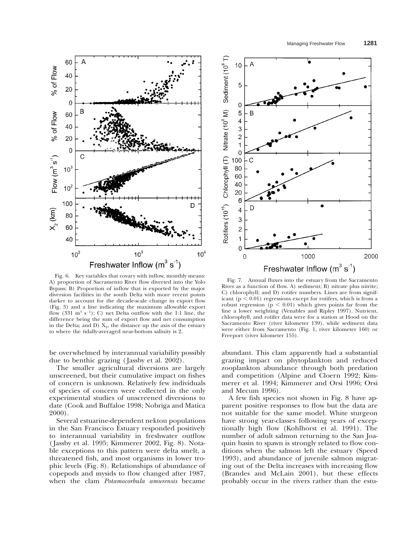

Fig. 6. Key variables that covary with inflow, monthly means: A) proportion of Sacramento River flow diverted into the Yolo Bypass; B) Proportion of inflow that is exported by the major diversion facilities in the south Delta with more recent points darker to account for the decade-scale change in export flow (Fig. 3) and a line indicating the maximum allowable export flow  $(331 \text{ m}^3 \text{ s}^{-1})$ ; C) net Delta outflow with the 1:1 line, the difference being the sum of export flow and net consumption in the Delta; and D)  $X_2$ , the distance up the axis of the estuary to where the tidally-averaged near-bottom salinity is 2.

be overwhelmed by interannual variability possibly due to benthic grazing ( Jassby et al. 2002).

The smaller agricultural diversions are largely unscreened, but their cumulative impact on fishes of concern is unknown. Relatively few individuals of species of concern were collected in the only experimental studies of unscreened diversions to date (Cook and Buffaloe 1998; Nobriga and Matica 2000).

Several estuarine-dependent nekton populations in the San Francisco Estuary responded positively to interannual variability in freshwater outflow ( Jassby et al. 1995; Kimmerer 2002, Fig. 8). Notable exceptions to this pattern were delta smelt, a threatened fish, and most organisms in lower trophic levels (Fig. 8). Relationships of abundance of copepods and mysids to flow changed after 1987, when the clam *Potamocorbula amurensis* became



Fig. 7. Annual fluxes into the estuary from the Sacramento River as a function of flow. A) sediment; B) nitrate plus nitrite; C) chlorophyll; and D) rotifer numbers. Lines are from significant ( $p < 0.01$ ) regressions except for rotifers, which is from a robust regression ( $p < 0.01$ ) which gives points far from the line a lower weighting (Venables and Ripley 1997). Nutrient, chlorophyll, and rotifer data were for a station at Hood on the Sacramento River (river kilometer 139), while sediment data were either from Sacramento (Fig. 1, river kilometer 160) or Freeport (river kilometer 155).

abundant. This clam apparently had a substantial grazing impact on phytoplankton and reduced zooplankton abundance through both predation and competition (Alpine and Cloern 1992; Kimmerer et al. 1994; Kimmerer and Orsi 1996; Orsi and Mecum 1996).

A few fish species not shown in Fig. 8 have apparent positive responses to flow but the data are not suitable for the same model. White sturgeon have strong year-classes following years of exceptionally high flow (Kohlhorst et al. 1991). The number of adult salmon returning to the San Joaquin basin to spawn is strongly related to flow conditions when the salmon left the estuary (Speed 1993), and abundance of juvenile salmon migrating out of the Delta increases with increasing flow (Brandes and McLain 2001), but these effects probably occur in the rivers rather than the estu-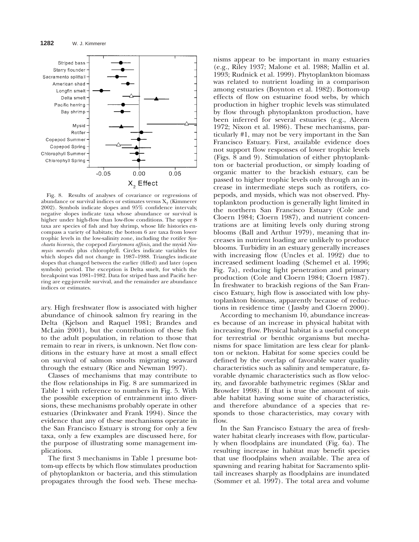

Fig. 8. Results of analyses of covariance or regressions of abundance or survival indices or estimates versus  $X_2$  (Kimmerer 2002). Symbols indicate slopes and 95% confidence intervals; negative slopes indicate taxa whose abundance or survival is higher under high-flow than low-flow conditions. The upper 8 taxa are species of fish and bay shrimp, whose life histories encompass a variety of habitats; the bottom 6 are taxa from lower trophic levels in the low-salinity zone, including the rotifer *Synchaeta bicornis,* the copepod *Eurytemora affinis,* and the mysid *Neomysis mercedis* plus chlorophyll. Circles indicate variables for which slopes did not change in 1987–1988. Triangles indicate slopes that changed between the earlier (filled) and later (open symbols) period. The exception is Delta smelt, for which the breakpoint was 1981–1982. Data for striped bass and Pacific herring are egg-juvenile survival, and the remainder are abundance indices or estimates.

ary. High freshwater flow is associated with higher abundance of chinook salmon fry rearing in the Delta (Kjelson and Raquel 1981; Brandes and McLain 2001), but the contribution of these fish to the adult population, in relation to those that remain to rear in rivers, is unknown. Net flow conditions in the estuary have at most a small effect on survival of salmon smolts migrating seaward through the estuary (Rice and Newman 1997).

Classes of mechanisms that may contribute to the flow relationships in Fig. 8 are summarized in Table 1 with reference to numbers in Fig. 5. With the possible exception of entrainment into diversions, these mechanisms probably operate in other estuaries (Drinkwater and Frank 1994). Since the evidence that any of these mechanisms operate in the San Francisco Estuary is strong for only a few taxa, only a few examples are discussed here, for the purpose of illustrating some management implications.

The first 3 mechanisms in Table 1 presume bottom-up effects by which flow stimulates production of phytoplankton or bacteria, and this stimulation propagates through the food web. These mecha-

nisms appear to be important in many estuaries (e.g., Riley 1937; Malone et al. 1988; Mallin et al. 1993; Rudnick et al. 1999). Phytoplankton biomass was related to nutrient loading in a comparison among estuaries (Boynton et al. 1982). Bottom-up effects of flow on estuarine food webs, by which production in higher trophic levels was stimulated by flow through phytoplankton production, have been inferred for several estuaries (e.g., Aleem 1972; Nixon et al. 1986). These mechanisms, particularly #1, may not be very important in the San Francisco Estuary. First, available evidence does not support flow responses of lower trophic levels (Figs. 8 and 9). Stimulation of either phytoplankton or bacterial production, or simply loading of organic matter to the brackish estuary, can be passed to higher trophic levels only through an increase in intermediate steps such as rotifers, copepods, and mysids, which was not observed. Phytoplankton production is generally light limited in the northern San Francisco Estuary (Cole and Cloern 1984; Cloern 1987), and nutrient concentrations are at limiting levels only during strong blooms (Ball and Arthur 1979), meaning that increases in nutrient loading are unlikely to produce blooms. Turbidity in an estuary generally increases with increasing flow (Uncles et al. 1992) due to increased sediment loading (Schemel et al. 1996; Fig. 7a), reducing light penetration and primary production (Cole and Cloern 1984; Cloern 1987). In freshwater to brackish regions of the San Francisco Estuary, high flow is associated with low phytoplankton biomass, apparently because of reductions in residence time ( Jassby and Cloern 2000).

According to mechanism 10, abundance increases because of an increase in physical habitat with increasing flow. Physical habitat is a useful concept for terrestrial or benthic organisms but mechanisms for space limitation are less clear for plankton or nekton. Habitat for some species could be defined by the overlap of favorable water quality characteristics such as salinity and temperature, favorable dynamic characteristics such as flow velocity, and favorable bathymetric regimes (Sklar and Browder 1998). If that is true the amount of suitable habitat having some suite of characteristics, and therefore abundance of a species that responds to those characteristics, may covary with flow.

In the San Francisco Estuary the area of freshwater habitat clearly increases with flow, particularly when floodplains are inundated (Fig. 6a). The resulting increase in habitat may benefit species that use floodplains when available. The area of spawning and rearing habitat for Sacramento splittail increases sharply as floodplains are inundated (Sommer et al. 1997). The total area and volume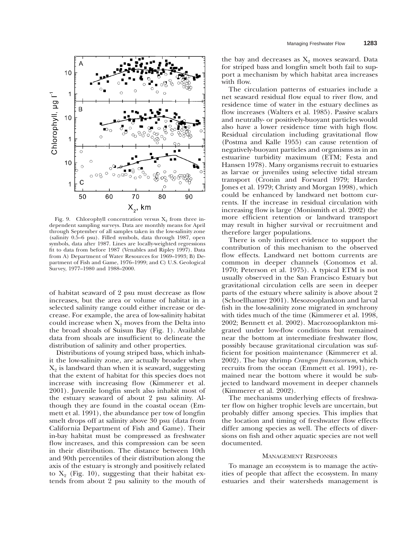

Fig. 9. Chlorophyll concentration versus  $X_2$  from three independent sampling surveys. Data are monthly means for April through September of all samples taken in the low-salinity zone (salinity 0.5–6 psu). Filled symbols, data through 1987, open symbols, data after 1987. Lines are locally-weighted regressions fit to data from before 1987 (Venables and Ripley 1997). Data from A) Department of Water Resources for 1969–1993; B) Department of Fish and Game, 1976–1999; and C) U.S. Geological Survey, 1977–1980 and 1988–2000.

of habitat seaward of 2 psu must decrease as flow increases, but the area or volume of habitat in a selected salinity range could either increase or decrease. For example, the area of low-salinity habitat could increase when  $X_2$  moves from the Delta into the broad shoals of Suisun Bay (Fig. 1). Available data from shoals are insufficient to delineate the distribution of salinity and other properties.

Distributions of young striped bass, which inhabit the low-salinity zone, are actually broader when  $X_2$  is landward than when it is seaward, suggesting that the extent of habitat for this species does not increase with increasing flow (Kimmerer et al. 2001). Juvenile longfin smelt also inhabit most of the estuary seaward of about 2 psu salinity. Although they are found in the coastal ocean (Emmett et al. 1991), the abundance per tow of longfin smelt drops off at salinity above 30 psu (data from California Department of Fish and Game). Their in-bay habitat must be compressed as freshwater flow increases, and this compression can be seen in their distribution. The distance between 10th and 90th percentiles of their distribution along the axis of the estuary is strongly and positively related to  $X_2$  (Fig. 10), suggesting that their habitat extends from about 2 psu salinity to the mouth of

the bay and decreases as  $X_2$  moves seaward. Data for striped bass and longfin smelt both fail to support a mechanism by which habitat area increases with flow.

The circulation patterns of estuaries include a net seaward residual flow equal to river flow, and residence time of water in the estuary declines as flow increases (Walters et al. 1985). Passive scalars and neutrally- or positively-buoyant particles would also have a lower residence time with high flow. Residual circulation including gravitational flow (Postma and Kalle 1955) can cause retention of negatively-buoyant particles and organisms as in an estuarine turbidity maximum (ETM; Festa and Hansen 1978). Many organisms recruit to estuaries as larvae or juveniles using selective tidal stream transport (Cronin and Forward 1979; Harden Jones et al. 1979; Christy and Morgan 1998), which could be enhanced by landward net bottom currents. If the increase in residual circulation with increasing flow is large (Monismith et al. 2002) the more efficient retention or landward transport may result in higher survival or recruitment and therefore larger populations.

There is only indirect evidence to support the contribution of this mechanism to the observed flow effects. Landward net bottom currents are common in deeper channels (Conomos et al. 1970; Peterson et al. 1975). A typical ETM is not usually observed in the San Francisco Estuary but gravitational circulation cells are seen in deeper parts of the estuary where salinity is above about 2 (Schoellhamer 2001). Mesozooplankton and larval fish in the low-salinity zone migrated in synchrony with tides much of the time (Kimmerer et al. 1998, 2002; Bennett et al. 2002). Macrozooplankton migrated under low-flow conditions but remained near the bottom at intermediate freshwater flow, possibly because gravitational circulation was sufficient for position maintenance (Kimmerer et al. 2002). The bay shrimp *Crangon franciscorum,* which recruits from the ocean (Emmett et al. 1991), remained near the bottom where it would be subjected to landward movement in deeper channels (Kimmerer et al. 2002).

The mechanisms underlying effects of freshwater flow on higher trophic levels are uncertain, but probably differ among species. This implies that the location and timing of freshwater flow effects differ among species as well. The effects of diversions on fish and other aquatic species are not well documented.

## MANAGEMENT RESPONSES

To manage an ecosystem is to manage the activities of people that affect the ecosystem. In many estuaries and their watersheds management is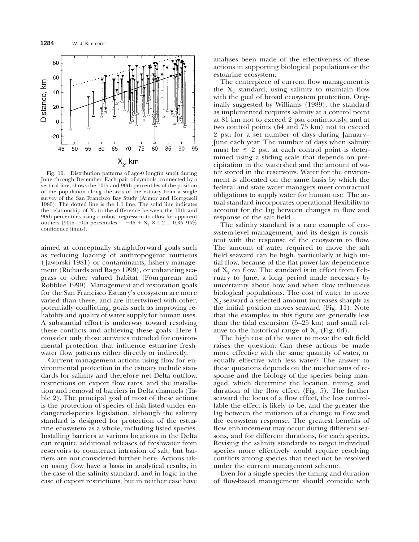

Fig. 10. Distribution patterns of age-0 longfin smelt during June through December. Each pair of symbols, connected by a vertical line, shows the 10th and 90th percentiles of the position of the population along the axis of the estuary from a single survey of the San Francisco Bay Study (Armor and Herrgesell 1985). The dotted line is the 1:1 line. The solid line indicates the relationship of  $X_2$  to the difference between the 10th and 90th percentiles using a robust regression to allow for apparent outliers (90th–10th percentiles =  $-45 + X_2 \times 1.2 \pm 0.35$ , 95% confidence limits).

aimed at conceptually straightforward goals such as reducing loading of anthropogenic nutrients ( Jaworski 1981) or contaminants, fishery management (Richards and Rago 1999), or enhancing seagrass or other valued habitat (Fourqurean and Robblee 1999). Management and restoration goals for the San Francisco Estuary's ecosystem are more varied than these, and are intertwined with other, potentially conflicting, goals such as improving reliability and quality of water supply for human uses. A substantial effort is underway toward resolving these conflicts and achieving these goals. Here I consider only those activities intended for environmental protection that influence estuarine freshwater flow patterns either directly or indirectly.

Current management actions using flow for environmental protection in the estuary include standards for salinity and therefore net Delta outflow, restrictions on export flow rates, and the installation and removal of barriers in Delta channels (Table 2). The principal goal of most of these actions is the protection of species of fish listed under endangered-species legislation, although the salinity standard is designed for protection of the estuarine ecosystem as a whole, including listed species. Installing barriers at various locations in the Delta can require additional releases of freshwater from reservoirs to counteract intrusion of salt, but barriers are not considered further here. Actions taken using flow have a basis in analytical results, in the case of the salinity standard, and in logic in the case of export restrictions, but in neither case have

analyses been made of the effectiveness of these actions in supporting biological populations or the estuarine ecosystem.

The centerpiece of current flow management is the  $X_2$  standard, using salinity to maintain flow with the goal of broad ecosystem protection. Originally suggested by Williams (1989), the standard as implemented requires salinity at a control point at 81 km not to exceed 2 psu continuously, and at two control points (64 and 75 km) not to exceed 2 psu for a set number of days during January– June each year. The number of days when salinity must be  $\leq 2$  psu at each control point is determined using a sliding scale that depends on precipitation in the watershed and the amount of water stored in the reservoirs. Water for the environment is allocated on the same basis by which the federal and state water managers meet contractual obligations to supply water for human use. The actual standard incorporates operational flexibility to account for the lag between changes in flow and response of the salt field.

The salinity standard is a rare example of ecosystem-level management, and its design is consistent with the response of the ecosystem to flow. The amount of water required to move the salt field seaward can be high, particularly at high initial flow, because of the flat power-law dependence of  $X_2$  on flow. The standard is in effect from February to June, a long period made necessary by uncertainty about how and when flow influences biological populations. The cost of water to move  $X<sub>2</sub>$  seaward a selected amount increases sharply as the initial position moves seaward (Fig. 11). Note that the examples in this figure are generally less than the tidal excursion (5–25 km) and small relative to the historical range of  $X_2$  (Fig. 6d).

The high cost of the water to move the salt field raises the question: Can these actions be made more effective with the same quantity of water, or equally effective with less water? The answer to these questions depends on the mechanisms of response and the biology of the species being managed, which determine the location, timing, and duration of the flow effect (Fig. 5). The further seaward the locus of a flow effect, the less controllable the effect is likely to be, and the greater the lag between the initiation of a change in flow and the ecosystem response. The greatest benefits of flow enhancement may occur during different seasons, and for different durations, for each species. Revising the salinity standards to target individual species more effectively would require resolving conflicts among species that need not be resolved under the current management scheme.

Even for a single species the timing and duration of flow-based management should coincide with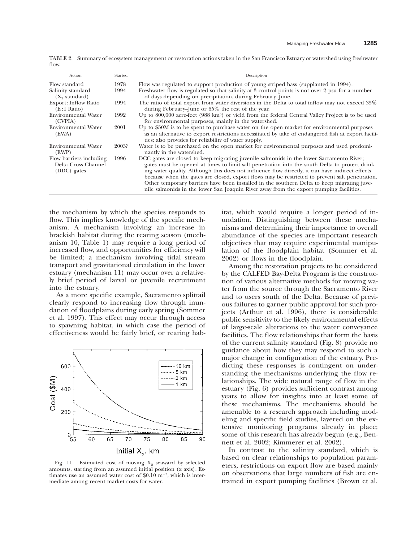TABLE 2. Summary of ecosystem management or restoration actions taken in the San Francisco Estuary or watershed using freshwater flow.

| Action                                                        | Started | Description                                                                                                                                                                                                                                                                                                                                                                                                                                                                                                                                                                             |
|---------------------------------------------------------------|---------|-----------------------------------------------------------------------------------------------------------------------------------------------------------------------------------------------------------------------------------------------------------------------------------------------------------------------------------------------------------------------------------------------------------------------------------------------------------------------------------------------------------------------------------------------------------------------------------------|
| Flow standard                                                 | 1978    | Flow was regulated to support production of young striped bass (supplanted in 1994).                                                                                                                                                                                                                                                                                                                                                                                                                                                                                                    |
| Salinity standard<br>(X <sub>2</sub> standard)                | 1994    | Freshwater flow is regulated so that salinity at 3 control points is not over 2 psu for a number<br>of days depending on precipitation, during February-June.                                                                                                                                                                                                                                                                                                                                                                                                                           |
| <b>Export: Inflow Ratio</b><br>(E:I Ratio)                    | 1994    | The ratio of total export from water diversions in the Delta to total inflow may not exceed 35%<br>during February–June or 65% the rest of the year.                                                                                                                                                                                                                                                                                                                                                                                                                                    |
| <b>Environmental Water</b><br>(CVPIA)                         | 1992    | Up to $800,000$ acre-feet (988 km <sup>3</sup> ) or yield from the federal Central Valley Project is to be used<br>for environmental purposes, mainly in the watershed.                                                                                                                                                                                                                                                                                                                                                                                                                 |
| <b>Environmental Water</b><br>(EWA)                           | 2001    | Up to \$50M is to be spent to purchase water on the open market for environmental purposes<br>as an alternative to export restrictions necessitated by take of endangered fish at export facili-<br>ties; also provides for reliability of water supply.                                                                                                                                                                                                                                                                                                                                |
| Environmental Water<br>(EWP)                                  | 2003?   | Water is to be purchased on the open market for environmental purposes and used predomi-<br>nantly in the watershed.                                                                                                                                                                                                                                                                                                                                                                                                                                                                    |
| Flow barriers including<br>Delta Cross Channel<br>(DDC) gates | 1996    | DCC gates are closed to keep migrating juvenile salmonids in the lower Sacramento River;<br>gates must be opened at times to limit salt penetration into the south Delta to protect drink-<br>ing water quality. Although this does not influence flow directly, it can have indirect effects<br>because when the gates are closed, export flows may be restricted to prevent salt penetration.<br>Other temporary barriers have been installed in the southern Delta to keep migrating juve-<br>nile salmonids in the lower San Joaquin River away from the export pumping facilities. |

the mechanism by which the species responds to flow. This implies knowledge of the specific mechanism. A mechanism involving an increase in brackish habitat during the rearing season (mechanism 10, Table 1) may require a long period of increased flow, and opportunities for efficiency will be limited; a mechanism involving tidal stream transport and gravitational circulation in the lower estuary (mechanism 11) may occur over a relatively brief period of larval or juvenile recruitment into the estuary.

As a more specific example, Sacramento splittail clearly respond to increasing flow through inundation of floodplains during early spring (Sommer et al. 1997). This effect may occur through access to spawning habitat, in which case the period of effectiveness would be fairly brief, or rearing hab-



Fig. 11. Estimated cost of moving  $X_2$  seaward by selected amounts, starting from an assumed initial position (x axis). Estimates use an assumed water cost of  $0.10 \text{ m}^{-3}$ , which is intermediate among recent market costs for water.

itat, which would require a longer period of inundation. Distinguishing between these mechanisms and determining their importance to overall abundance of the species are important research objectives that may require experimental manipulation of the floodplain habitat (Sommer et al. 2002) or flows in the floodplain.

Among the restoration projects to be considered by the CALFED Bay-Delta Program is the construction of various alternative methods for moving water from the source through the Sacramento River and to users south of the Delta. Because of previous failures to garner public approval for such projects (Arthur et al. 1996), there is considerable public sensitivity to the likely environmental effects of large-scale alterations to the water conveyance facilities. The flow relationships that form the basis of the current salinity standard (Fig. 8) provide no guidance about how they may respond to such a major change in configuration of the estuary. Predicting these responses is contingent on understanding the mechanisms underlying the flow relationships. The wide natural range of flow in the estuary (Fig. 6) provides sufficient contrast among years to allow for insights into at least some of these mechanisms. The mechanisms should be amenable to a research approach including modeling and specific field studies, layered on the extensive monitoring programs already in place; some of this research has already begun (e.g., Bennett et al. 2002; Kimmerer et al. 2002).

In contrast to the salinity standard, which is based on clear relationships to population parameters, restrictions on export flow are based mainly on observations that large numbers of fish are entrained in export pumping facilities (Brown et al.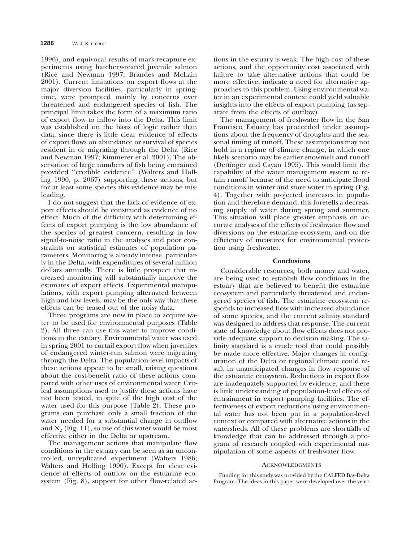1996), and equivocal results of mark-recapture experiments using hatchery-reared juvenile salmon (Rice and Newman 1997; Brandes and McLain 2001). Current limitations on export flows at the major diversion facilities, particularly in springtime, were prompted mainly by concerns over threatened and endangered species of fish. The principal limit takes the form of a maximum ratio of export flow to inflow into the Delta. This limit was established on the basis of logic rather than data, since there is little clear evidence of effects of export flows on abundance or survival of species resident in or migrating through the Delta (Rice and Newman 1997; Kimmerer et al. 2001). The observation of large numbers of fish being entrained provided ''credible evidence'' (Walters and Holling 1990, p. 2067) supporting these actions, but for at least some species this evidence may be misleading.

I do not suggest that the lack of evidence of export effects should be construed as evidence of no effect. Much of the difficulty with determining effects of export pumping is the low abundance of the species of greatest concern, resulting in low signal-to-noise ratio in the analyses and poor constraints on statistical estimates of population parameters. Monitoring is already intense, particularly in the Delta, with expenditures of several million dollars annually. There is little prospect that increased monitoring will substantially improve the estimates of export effects. Experimental manipulations, with export pumping alternated between high and low levels, may be the only way that these effects can be teased out of the noisy data.

Three programs are now in place to acquire water to be used for environmental purposes (Table 2). All three can use this water to improve conditions in the estuary. Environmental water was used in spring 2001 to curtail export flow when juveniles of endangered winter-run salmon were migrating through the Delta. The population-level impacts of these actions appear to be small, raising questions about the cost-benefit ratio of these actions compared with other uses of environmental water. Critical assumptions used to justify these actions have not been tested, in spite of the high cost of the water used for this purpose (Table 2). These programs can purchase only a small fraction of the water needed for a substantial change in outflow and  $X_2$  (Fig. 11), so use of this water would be most effective either in the Delta or upstream.

The management actions that manipulate flow conditions in the estuary can be seen as an uncontrolled, unreplicated experiment (Walters 1986; Walters and Holling 1990). Except for clear evidence of effects of outflow on the estuarine ecosystem (Fig. 8), support for other flow-related actions in the estuary is weak. The high cost of these actions, and the opportunity cost associated with failure to take alternative actions that could be more effective, indicate a need for alternative approaches to this problem. Using environmental water in an experimental context could yield valuable insights into the effects of export pumping (as separate from the effects of outflow).

The management of freshwater flow in the San Francisco Estuary has proceeded under assumptions about the frequency of droughts and the seasonal timing of runoff. These assumptions may not hold in a regime of climate change, in which one likely scenario may be earlier snowmelt and runoff (Dettinger and Cayan 1995). This would limit the capability of the water management system to retain runoff because of the need to anticipate flood conditions in winter and store water in spring (Fig. 4). Together with projected increases in population and therefore demand, this foretells a decreasing supply of water during spring and summer. This situation will place greater emphasis on accurate analyses of the effects of freshwater flow and diversions on the estuarine ecosystem, and on the efficiency of measures for environmental protection using freshwater.

## **Conclusions**

Considerable resources, both money and water, are being used to establish flow conditions in the estuary that are believed to benefit the estuarine ecosystem and particularly threatened and endangered species of fish. The estuarine ecosystem responds to increased flow with increased abundance of some species, and the current salinity standard was designed to address that response. The current state of knowledge about flow effects does not provide adequate support to decision making. The salinity standard is a crude tool that could possibly be made more effective. Major changes in configuration of the Delta or regional climate could result in unanticipated changes in flow response of the estuarine ecosystem. Reductions in export flow are inadequately supported by evidence, and there is little understanding of population-level effects of entrainment in export pumping facilities. The effectiveness of export reductions using environmental water has not been put in a population-level context or compared with alternative actions in the watersheds. All of these problems are shortfalls of knowledge that can be addressed through a program of research coupled with experimental manipulation of some aspects of freshwater flow.

#### ACKNOWLEDGMENTS

Funding for this study was provided by the CALFED Bay-Delta Program. The ideas in this paper were developed over the years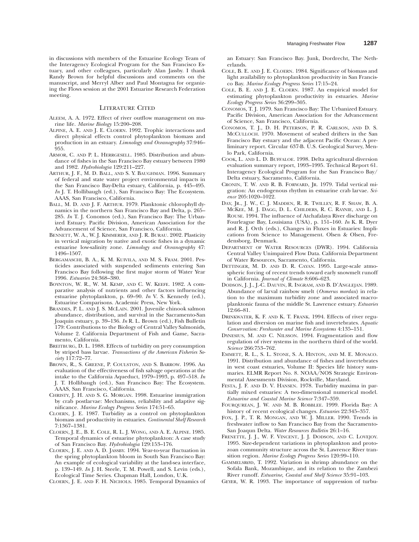in discussions with members of the Estuarine Ecology Team of the Interagency Ecological Program for the San Francisco Estuary, and other colleagues, particularly Alan Jassby. I thank Randy Brown for helpful discussions and comments on the manuscript, and Merryl Alber and Paul Montagna for organizing the Flows session at the 2001 Estuarine Research Federation meeting.

#### LITERATURE CITED

- ALEEM, A. A. 1972. Effect of river outflow management on marine life. *Marine Biology* 15:200–208.
- ALPINE, A. E. AND J. E. CLOERN. 1992. Trophic interactions and direct physical effects control phytoplankton biomass and production in an estuary. *Limnology and Oceanography* 37:946– 955.
- ARMOR, C. AND P. L. HERRGESELL. 1985. Distribution and abundance of fishes in the San Francisco Bay estuary between 1980 and 1982. *Hydrobiologia* 129:211–227.
- ARTHUR, J. F., M. D. BALL, AND S. Y. BAUGHMAN. 1996. Summary of federal and state water project environmental impacts in the San Francisco Bay-Delta estuary, California, p. 445–495. *In* J. T. Hollibaugh (ed.), San Francisco Bay: The Ecosystem. AAAS, San Francisco, California.
- BALL, M. D. AND J. F. ARTHUR. 1979. Planktonic chlorophyll dynamics in the northern San Francisco Bay and Delta, p. 265– 285. *In* T. J. Conomos (ed.), San Francisco Bay: The Urbanized Estuary. Pacific Division, American Association for the Advancement of Science, San Francisco, California.
- BENNETT, W. A., W. J. KIMMERER, AND J. R. BURAU. 2002. Plasticity in vertical migration by native and exotic fishes in a dynamic estuarine low-salinity zone. *Limnology and Oceanography* 47: 1496–1507.
- BERGAMASCHI, B. A., K. M. KUIVILA, AND M. S. FRAM. 2001. Pesticides associated with suspended sediments entering San Francisco Bay following the first major storm of Water Year 1996. *Estuaries* 24:368–380.
- BOYNTON, W. R., W. M. KEMP, AND C. W. KEEFE. 1982. A comparative analysis of nutrients and other factors influencing estuarine phytoplankton, p. 69–90. *In* V. S. Kennedy (ed.), Estuarine Comparisons. Academic Press, New York.
- BRANDES, P. L. AND J. S. MCLAIN. 2001. Juvenile chinook salmon abundance, distribution, and survival in the Sacramento-San Joaquin estuary, p. 39–136. *In* R. L. Brown (ed.), Fish Bulletin 179: Contributions to the Biology of Central Valley Salmonids, Volume 2. California Department of Fish and Game, Sacramento, California.
- BREITBURG, D. L. 1988. Effects of turbidity on prey consumption by striped bass larvae. *Transactions of the American Fisheries Society* 117:72–77.
- BROWN, R., S. GREENE, P. COULSTON, AND S. BARROW. 1996. An evaluation of the effectiveness of fish salvage operations at the intake to the California Aqueduct, 1979–1993, p. 497–518. *In* J. T. Hollibaugh (ed.), San Francisco Bay: The Ecosystem. AAAS, San Francisco, California.
- CHRISTY, J. H. AND S. G. MORGAN. 1998. Estuarine immigration by crab postlarvae: Mechanisms, reliability and adaptive significance. *Marine Ecology Progress Series* 174:51–65.
- CLOERN, J. E. 1987. Turbidity as a control on phytoplankton biomass and productivity in estuaries. *Continental Shelf Research* 7:1367–1381.
- CLOERN, J. E., B. E. COLE, R. L. J. WONG, AND A. E. ALPINE. 1985. Temporal dynamics of estuarine phytoplankton: A case study of San Francisco Bay. *Hydrobiologia* 129:153–176.
- CLOERN, J. E. AND A. D. JASSBY. 1994. Year-to-year fluctuation in the spring phytoplankton bloom in South San Francisco Bay: An example of ecological variability at the land-sea interface, p. 139–149. *In* J. H. Steele, T. M. Powell, and S. Levin (eds.), Ecological Time Series. Chapman Hall, London, U.K.

CLOERN, J. E. AND F. H. NICHOLS. 1985. Temporal Dynamics of

an Estuary: San Francisco Bay. Junk, Dordrecht, The Netherlands.

- COLE, B. E. AND J. E. CLOERN. 1984. Significance of biomass and light availability to phytoplankton productivity in San Francisco Bay. *Marine Ecology Progress Series* 17:15–24.
- COLE, B. E. AND J. E. CLOERN. 1987. An empirical model for estimating phytoplankton productivity in estuaries. *Marine Ecology Progress Series* 36:299–305.
- CONOMOS, T. J. 1979. San Francisco Bay: The Urbanized Estuary. Pacific Division, American Association for the Advancement of Science, San Francisco, California.
- CONOMOS, T. J., D. H. PETERSON, P. R. CARLSON, AND D. S. MCCULLOCH. 1970. Movement of seabed drifters in the San Francisco Bay estuary and the adjacent Pacific Ocean: A preliminary report. Circular 637-B. U.S. Geological Survey, Menlo Park, California.
- COOK, L. AND L. D. BUFFALOE. 1998. Delta agricultural diversion evaluation summary report, 1993–1995. Technical Report 61. Interagency Ecological Program for the San Francisco Bay/ Delta estuary, Sacramento, California.
- CRONIN, T. W. AND R. B. FORWARD, JR. 1979. Tidal vertical migration: An endogenous rhythm in estuarine crab larvae. *Science* 205:1020–1022.
- DAY, JR., J. W., C. J. MADDEN, R. R. TWILLEY, R. F. SHAW, B. A. MCKEE, M. J. DAGG, D. L. CHILDERS, R. C. RAYNIE, AND L. J. ROUSE. 1994. The influence of Atchafalaya River discharge on Fourleague Bay, Louisiana (USA), p. 151–160. *In* K. R. Dyer and R. J. Orth (eds.), Changes in Fluxes in Estuaries: Implications from Science to Management. Olsen & Olsen, Fredensborg, Denmark.
- DEPARTMENT OF WATER RESOURCES (DWR). 1994. California Central Valley Unimpaired Flow Data. California Department of Water Resources, Sacramento, California.
- DETTINGER, M. D. AND D. R. CAYAN. 1995. Large-scale atmospheric forcing of recent trends toward early snowmelt runoff in California. *Journal of Climate* 8:606–623.
- DODSON, J. J., J.-C. DAUVIN, R. INGRAM, AND B. D'ANGLEJAN. 1989. Abundance of larval rainbow smelt (*Osmerus mordax*) in relation to the maximum turbidity zone and associated macroplanktonic fauna of the middle St. Lawrence estuary. *Estuaries* 12:66–81.
- DRINKWATER, K. F. AND K. T. FRANK. 1994. Effects of river regulation and diversion on marine fish and invertebrates. *Aquatic Conservation: Freshwater and Marine Ecosystems* 4:135–151.
- DYNESIUS, M. AND C. NILSSON. 1994. Fragmentation and flow regulation of river systems in the northern third of the world. *Science* 266:753–762.
- EMMETT, R. L., S. L. STONE, S. A. HINTON, AND M. E. MONACO. 1991. Distribution and abundance of fishes and invertebrates in west coast estuaries, Volume II: Species life history summaries. ELMR Report No. 8. NOAA/NOS Strategic Environmental Assessments Division, Rockville, Maryland.
- FESTA, J. F. AND D. V. HANSEN. 1978. Turbidity maxima in partially mixed estuaries: A two-dimensional numerical model. *Estuarine and Coastal Marine Science* 7:347–359.
- FOURQUREAN, J. W. AND M. B. ROBBLEE. 1999. Florida Bay: A history of recent ecological changes. *Estuaries* 22:345–357.
- FOX, J. P., T. R. MONGAN, AND W. J. MILLER. 1990. Trends in freshwater inflow to San Francisco Bay from the Sacramento-San Joaqun Delta. *Water Resources Bulletin* 26:1–16.
- FRENETTE, J. J., W. F. VINCENT, J. J. DODSON, AND C. LOVEJOY. 1995. Size-dependent variations in phytoplankton and protozoan community structure across the St. Lawrence River transition region. *Marine Ecology Progress Series* 120:99–110.
- GAMMELSRØD, T. 1992. Variation in shrimp abundance on the Sofala Bank, Mozambique, and its relation to the Zambezi River runoff. *Estuarine, Coastal and Shelf Science* 35:91–103.
- GEYER, W. R. 1993. The importance of suppression of turbu-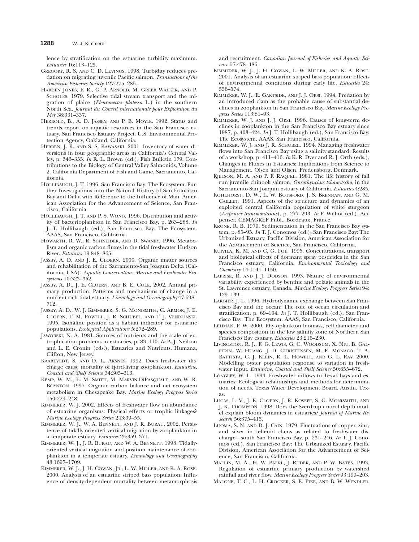lence by stratification on the estuarine turbidity maximum. *Estuaries* 16:113–125.

- GREGORY, R. S. AND C. D. LEVINGS. 1998. Turbidity reduces predation on migrating juvenile Pacific salmon. *Transactions of the American Fisheries Society* 127:275–285.
- HARDEN JONES, F. R., G. P. ARNOLD, M. GREER WALKER, AND P. SCHOLES. 1979. Selective tidal stream transport and the migration of plaice (*Pleuronectes platessa* L.) in the southern North Sea. *Journal du Conseil internationale pour Exploration du Mer* 38:331–337.
- HERBOLD, B., A. D. JASSBY, AND P. B. MOYLE. 1992. Status and trends report on aquatic resources in the San Francisco estuary. San Francisco Estuary Project. U.S. Environmental Protection Agency, Oakland, California.
- HERREN, J. R. AND S. S. KAWASAKI. 2001. Inventory of water diversions in four geographic areas in California's Central Valley, p. 343–355. *In* R. L. Brown (ed.), Fish Bulletin 179: Contributions to the Biology of Central Valley Salmonids, Volume 2. California Department of Fish and Game, Sacramento, California.
- HOLLIBAUGH, J. T. 1996. San Francisco Bay: The Ecosystem. Further Investigations into the Natural History of San Francisco Bay and Delta with Reference to the Influence of Man. American Association for the Advancement of Science, San Francisco, California.
- HOLLIBAUGH, J. T. AND P. S. WONG. 1996. Distribution and activity of bacterioplankton in San Francisco Bay, p. 263–288. *In* J. T. Hollibaugh (ed.), San Francisco Bay: The Ecosystem. AAAS, San Francisco, California.
- HOWARTH, R. W., R. SCHNEIDER, AND D. SWANEY. 1996. Metabolism and organic carbon fluxes in the tidal freshwater Hudson River. *Estuaries* 19:848–865.
- JASSBY, A. D. AND J. E. CLOERN. 2000. Organic matter sources and rehabilitation of the Sacramento-San Joaquin Delta (California, USA). *Aquatic Conservation: Marine and Freshwater Ecosystems* 10:323–352.
- JASSBY, A. D., J. E. CLOERN, AND B. E. COLE. 2002. Annual primary production: Patterns and mechanisms of change in a nutrient-rich tidal estuary. *Limnology and Oceanography* 47:698– 712.
- JASSBY, A. D., W. J. KIMMERER, S. G. MONISMITH, C. ARMOR, J. E. CLOERN, T. M. POWELL, J. R. SCHUBEL, AND T. J. VENDLINSKI. 1995. Isohaline position as a habitat indicator for estuarine populations. *Ecological Applications* 5:272–289.
- JAWORSKI, N. A. 1981. Sources of nutrients and the scale of eutrophication problems in estuaries, p. 83–110. *In* B. J. Neilson and L. E. Cronin (eds.), Estuaries and Nutrients. Humana, Clifton, New Jersey.
- KAARTVEDT, S. AND D. L. AKSNES. 1992. Does freshwater discharge cause mortality of fjord-living zooplankton. *Estuarine, Coastal and Shelf Science* 34:305–313.
- KEMP, W. M., E. M. SMITH, M. MARVIN-DIPASQUALE, AND W. R. BOYNTON. 1997. Organic carbon balance and net ecosystem metabolism in Chesapeake Bay. *Marine Ecology Progress Series* 150:229–248.
- KIMMERER, W. J. 2002. Effects of freshwater flow on abundance of estuarine organisms: Physical effects or trophic linkages? *Marine Ecology Progress Series* 243:39–55.
- KIMMERER, W. J., W. A. BENNETT, AND J. R. BURAU. 2002. Persistence of tidally-oriented vertical migration by zooplankton in a temperate estuary. *Estuaries* 25:359–371.
- KIMMERER, W. J., J. R. BURAU, AND W. A. BENNETT. 1998. Tidallyoriented vertical migration and position maintenance of zooplankton in a temperate estuary. *Limnology and Oceanography* 43:1697–1709.
- KIMMERER, W. J., J. H. COWAN, JR., L. W. MILLER, AND K. A. ROSE. 2000. Analysis of an estuarine striped bass population: Influence of density-dependent mortality between metamorphosis

and recruitment. *Canadian Journal of Fisheries and Aquatic Science* 57:478–486.

- KIMMERER, W. J., J. H. COWAN, L. W. MILLER, AND K. A. ROSE. 2001. Analysis of an estuarine striped bass population: Effects of environmental conditions during early life. *Estuaries* 24: 556–574.
- KIMMERER, W. J., E. GARTSIDE, AND J. J. ORSI. 1994. Predation by an introduced clam as the probable cause of substantial declines in zooplankton in San Francisco Bay. *Marine Ecology Progress Series* 113:81–93.
- KIMMERER, W. J. AND J. J. ORSI. 1996. Causes of long-term declines in zooplankton in the San Francisco Bay estuary since 1987, p. 403–424. *In* J. T. Hollibaugh (ed.), San Francisco Bay: The Ecosystem. AAAS, San Francisco, California.
- KIMMERER, W. J. AND J. R. SCHUBEL. 1994. Managing freshwater flows into San Francisco Bay using a salinity standard: Results of a workshop, p. 411–416. *In* K. R. Dyer and R. J. Orth (eds.), Changes in Fluxes in Estuaries: Implications from Science to Management. Olsen and Olsen, Fredensborg, Denmark.
- KJELSON, M. A. AND P. F. RAQUEL. 1981. The life history of fall run juvenile chinook salmon, *Oncorhynchus tshawytscha*, in the Sacramento-San Joaquin estuary of California. *Estuaries* 4:285.
- KOHLHORST, D. W., L. W. BOTSFORD, J. S. BRENNAN, AND G. M. CAILLET. 1991. Aspects of the structure and dynamics of an exploited central California population of white sturgeon (*Acipenser transmontanus*), p. 277–293. *In* P. Williot (ed.), Acipenser. CEMAGREF Publ., Bordeaux, France.
- KRONE, R. B. 1979. Sedimentation in the San Francisco Bay system, p. 85–95. *In* T. J. Conomos (ed.), San Francisco Bay: The Urbanized Estuary. Pacific Division, American Association for the Advancement of Science, San Francisco, California.
- KUIVILA, K. M. AND C. G. FOE. 1995. Concentrations, transport and biological effects of dormant spray pesticides in the San Francisco estuary, California. *Environmental Toxicology and Chemistry* 14:1141–1150.
- LAPRISE, R. AND J. J. DODSON. 1993. Nature of environmental variability experienced by benthic and pelagic animals in the St. Lawrence estuary, Canada. *Marine Ecology Progress Series* 94: 129–139.
- LARGIER, J. L. 1996. Hydrodynamic exchange between San Francisco Bay and the ocean: The role of ocean circulation and stratification, p. 69–104. *In* J. T. Hollibaugh (ed.), San Francisco Bay: The Ecosystem. AAAS, San Francisco, California.
- LEHMAN, P. W. 2000. Phytoplankton biomass, cell diameter, and species composition in the low salinity zone of Northern San Francisco Bay estuary. *Estuaries* 23:216–230.
- LIVINGSTON, R. J., F. G. LEWIS, G. C. WOODSUM, X. NIU, B. GAL-PERIN, W. HUANG, J. D. CHRISTENSEN, M. E. MONACO, T. A. BATTISTA, C. J. KLEIN, R. L. HOWELL, AND G. L. RAY. 2000. Modelling oyster population response to variation in freshwater input. *Estuarine, Coastal and Shelf Science* 50:655–672.
- LONGLEY, W. L. 1994. Freshwater inflows to Texas bays and estuaries: Ecological relationships and methods for determination of needs. Texas Water Development Board, Austin, Texas.
- LUCAS, L. V., J. E. CLOERN, J. R. KOSEFF, S. G. MONISMITH, AND J. K. THOMPSON. 1998. Does the Sverdrup critical depth model explain bloom dynamics in estuaries? *Journal of Marine Research* 56:375–415.
- LUOMA, S. N. AND D. J. CAIN. 1979. Fluctuations of copper, zinc, and silver in tellenid clams as related to freshwater discharge—south San Francisco Bay, p. 231–246. *In* T. J. Conomos (ed.), San Francisco Bay: The Urbanized Estuary. Pacific Division, American Association for the Advancement of Science, San Francisco, California.
- MALLIN, M. A., H. W. PAERL, J. RUDEK, AND P. W. BATES. 1993. Regulation of estuarine primary production by watershed rainfall and river flow. *Marine Ecology Progress Series* 93:199–203.
- MALONE, T. C., L. H. CROCKER, S. E. PIKE, AND B. W. WENDLER.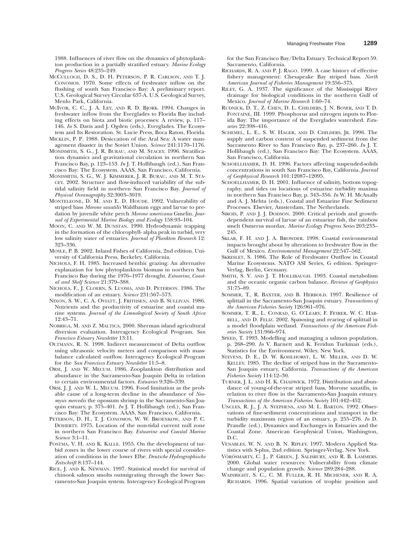1988. Influences of river flow on the dynamics of phytoplankton production in a partially stratified estuary. *Marine Ecology Progress Series* 48:235–249.

- MCCULLOCH, D. S., D. H. PETERSON, P. R. CARLSON, AND T. J. CONOMOS. 1970. Some effects of freshwater inflow on the flushing of south San Francisco Bay: A preliminary report. U.S. Geological Survey Circular 637-A. U.S. Geological Survey, Menlo Park, California.
- MCIVOR, C. C., J. A. LEY, AND R. D. BJORK. 1994. Changes in freshwater inflow from the Everglades to Florida Bay including effects on biota and biotic processes: A review, p. 117– 146. *In* S. Davis and J. Ogden (eds.), Everglades. The Ecosystem and Its Restoration. St. Lucie Press, Boca Raton, Florida.
- MICKLIN, P. P. 1988. Desiccation of the Aral Sea: A water management disaster in the Soviet Union. *Science* 241:1170–1176.
- MONISMITH, S. G., J. R. BURAU, AND M. STACEY. 1996. Stratification dynamics and gravitational circulation in northern San Francisco Bay, p. 123–153. *In* J. T. Hollibaugh (ed.), San Francisco Bay: The Ecosystem. AAAS, San Francisco, California.
- MONISMITH, S. G., W. J. KIMMERER, J. R. BURAU, AND M. T. STA-CEY. 2002. Structure and flow-induced variability of the subtidal salinity field in northern San Francisco Bay. *Journal of Physical Oceanography* 32:3003–3019.
- MONTELEONE, D. M. AND E. D. HOUDE. 1992. Vulnerability of striped bass *Morone saxatilis* Waldbaum eggs and larvae to predation by juvenile white perch *Morone americana* Gmelin. *Journal of Experimental Marine Biology and Ecology* 158:93–104.
- MOON, C. AND W. M. DUNSTAN. 1990. Hydrodynamic trapping in the formation of the chlorophyll- alpha peak in turbid, very low salinity water of estuaries. *Journal of Plankton Research* 12: 323–336.
- MOYLE, P. B. 2002. Inland Fishes of California, 2nd edition. University of California Press, Berkeley, California.
- NICHOLS, F. H. 1985. Increased benthic grazing: An alternative explanation for low phytoplankton biomass in northern San Francisco Bay during the 1976–1977 drought. *Estuarine, Coastal and Shelf Science* 21:379–388.
- NICHOLS, F., J. CLOERN, S. LUOMA, AND D. PETERSON. 1986. The modification of an estuary. *Science* 231:567–573.
- NIXON, S. W., C. A. OVIATT, J. FRITHSEN, AND B. SULLIVAN. 1986. Nutrients and the productivity of estuarine and coastal marine systems. *Journal of the Limnological Society of South Africa* 12:43–71.
- NOBRIGA, M. AND Z. MALTICA. 2000. Sherman island agricultural diversion evaluation. Interagency Ecological Program. *San Francisco Estuary Newsletter* 13:11.
- OLTMANN, R. N. 1998. Indirect measurement of Delta outflow using ultrasonic velocity meters and comparison with massbalance calculated outflow. Interagency Ecological Program for the *San Francisco Estuary Newsletter* 11:5–8.
- ORSI, J. AND W. MECUM. 1986. Zooplankton distribution and abundance in the Sacramento-San Joaquin Delta in relation to certain environmental factors. *Estuaries* 9:326–339.
- ORSI, J. J. AND W. L. MECUM. 1996. Food limitation as the probable cause of a long-term decline in the abundance of *Neomysis mercedis* the opossum shrimp in the Sacramento-San Joaquin estuary, p. 375–401. *In* J. T. Hollibaugh (ed.), San Francisco Bay: The Ecosystem. AAAS, San Francisco, California.
- PETERSON, D. H., T. J. CONOMOS, W. W. BROENKOW, AND P. C. DOHERTY. 1975. Location of the non-tidal current null zone in northern San Francisco Bay. *Estuarine and Coastal Marine Science* 3:1–11.
- POSTMA, V. H. AND K. KALLE. 1955. On the development of turbid zones in the lower course of rivers with special consideration of conditions in the lower Elbe. *Deutsche Hydrographische Zeitschrift* 8:137–144.
- RICE, J. AND K. NEWMAN. 1997. Statistical model for survival of chinook salmon smolts outmigrating through the lower Sacramento-San Joaquin system. Interagency Ecological Program

for the San Francisco Bay/Delta Estuary. Technical Report 59. Sacramento, California.

- RICHARDS, R. A. AND P. J. RAGO. 1999. A case history of effective fishery management: Chesapeake Bay striped bass. *North American Journal of Fisheries Management* 19:356–375.
- RILEY, G. A. 1937. The significance of the Mississippi River drainage for biological conditions in the northern Gulf of Mexico. *Journal of Marine Research* 1:60–74.
- RUDNICK, D. T., Z. CHEN, D. L. CHILDERS, J. N. BOYER, AND T. D. FONTAINE, III. 1999. Phosphorus and nitrogen inputs to Florida Bay: The importance of the Everglades watershed. *Estuaries* 22:398–416.
- SCHEMEL, L. E., S. W. HAGER, AND D. CHILDERS, JR. 1996. The supply and carbon content of suspended sediment from the Sacramento River to San Francisco Bay, p. 237–260. *In* J. T. Hollibaugh (ed.), San Francisco Bay: The Ecosystem. AAAS, San Francisco, California.
- SCHOELLHAMER, D. H. 1996. Factors affecting suspended-solids concentrations in south San Francisco Bay, California. *Journal of Geophysical Research* 101:12087–12095.
- SCHOELLHAMER, D. H. 2001. Influence of salinity, bottom topography, and tides on locations of estuarine turbidity maxima in northern San Francisco Bay, p. 343–356. *In* W. H. McAnally and A. J. Mehta (eds.), Coastal and Estuarine Fine Sediment Processes. Elsevier, Amsterdam, The Netherlands.
- SIROIS, P. AND J. J. DODSON. 2000. Critical periods and growthdependent survival of larvae of an estuarine fish, the rainbow smelt Osmerus mordax. *Marine Ecology Progress Series* 203:233– 245.
- SKLAR, F. H. AND J. A. BROWDER. 1998. Coastal environmental impacts brought about by alterations to freshwater flow in the Gulf of Mexico. *Environmental Management* 22:547–562.
- SKRESLET, S. 1986. The Role of Freshwater Outflow in Coastal Marine Ecosystems. NATO ASI Series, G edition. Springer-Verlag, Berlin, Germany.
- SMITH, S. V. AND J. T. HOLLIBAUGH. 1993. Coastal metabolism and the oceanic organic carbon balance. *Reviews of Geophysics* 31:75–89.
- SOMMER, T., R. BAXTER, AND B. HERBOLD. 1997. Resilience of splittail in the Sacramento-San Joaquin estuary. *Transactions of the American Fisheries Society* 126:961–976.
- SOMMER, T. R., L. CONRAD, G. O'LEARY, F. FEYRER, W. C. HAR-RELL, AND D. FELIZ. 2002. Spawning and rearing of splittail in a model floodplain wetland. *Transactions of the American Fisheries Society* 131:966–974.
- SPEED, T. 1993. Modelling and managing a salmon population, p. 268–290. *In* V. Barnett and K. Feridun Turkman (eds.), Statistics for the Environment. Wiley, New York.
- STEVENS, D. E., D. W. KOHLHORST, L. W. MILLER, AND D. W. KELLEY. 1985. The decline of striped bass in the Sacramento-San Joaquin estuary, California. *Transactions of the American Fisheries Society* 114:12–30.
- TURNER, J. L. AND H. K. CHADWICK. 1972. Distribution and abundance of young-of-the-year striped bass, Morone saxatilis, in relation to river flow in the Sacramento-San Joaquin estuary. *Transactions of the American Fisheries Society* 101:442–452.
- UNCLES, R. J., J. A. STEPHENS, AND M. L. BARTON. 1992. Observations of fine-sediment concentrations and transport in the turbidity maximum region of an estuary, p. 255–276. *In* D. Prandle (ed.), Dynamics and Exchanges in Estuaries and the Coastal Zone. American Geophysical Union, Washington, D.C.
- VENABLES, W. N. AND B. N. RIPLEY. 1997. Modern Applied Statistics with S-plus, 2nd edition. Springer-Verlag, New York.
- VÖRÖSMARTY, C. J., P. GREEN, J. SALISBURY, AND R. B. LAMMERS. 2000. Global water resources: Vulnerability from climate change and population growth. *Science* 289:284–288.
- WAINRIGHT, S. C., C. M. FULLER, R. H. MICHENER, AND R. A. RICHARDS. 1996. Spatial variation of trophic position and